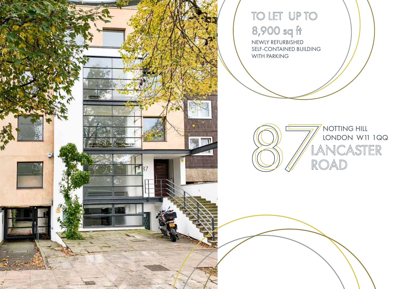

TO LET UP TO 8,900 sq ft NEWLY REFURBISHED SELF-CONTAINED BUILDING WITH PARKING

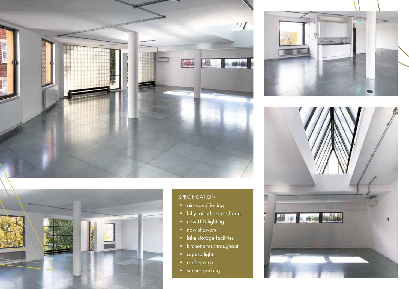



#### SPECIFICATION

- air-conditioning
- fully raised access floors
- new LED lighting
- new showers
- bike storage facilities
- kitchenettes throughout
- superb light
- roof terrace
- secure parking



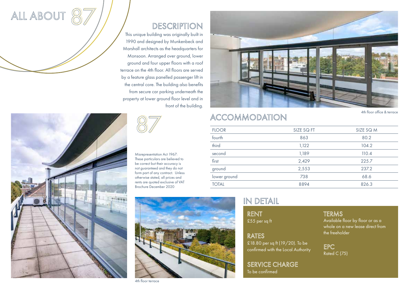

## DESCRIPTION

This unique building was originally built in 1990 and designed by Munkenbeck and Marshall architects as the headquarters for Monsoon. Arranged over ground, lower ground and four upper floors with a roof terrace on the 4th floor. All floors are served by a feature glass panelled passenger lift in the central core. The building also benefits from secure car parking underneath the property at lower ground floor level and in front of the building.



Misrepresentation Act 1967: These particulars are believed to be correct but their accuracy is not guaranteed and they do not form part of any contract. Unless otherwise stated, all prices and rents are quoted exclusive of VAT Brochure December 2020



## ACCOMMODATION

4th floor office & terrace

| <b>FLOOR</b> | SIZE SQ FT | SIZE SQ M |
|--------------|------------|-----------|
| fourth       | 863        | 80.2      |
| third        | 1,122      | 104.2     |
| second       | 1,189      | 110.4     |
| first        | 2,429      | 225.7     |
| ground       | 2,553      | 237.2     |
| lower ground | 738        | 68.6      |
| <b>TOTAL</b> | 8894       | 826.3     |
|              |            |           |

### IN DETAIL

RENT £55 per sq ft

RATES<br>£18.80 per sq ft (19/20). To be confirmed with the Local Authority

SERVICE CHARGE To be confirmed

#### TERMS

Available floor by floor or as a whole on a new lease direct from the freeholder

EPC Rated C (75)



ALL ABOUT

87

4th floor terrace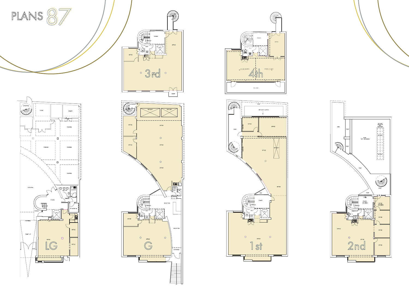

PLANS 87







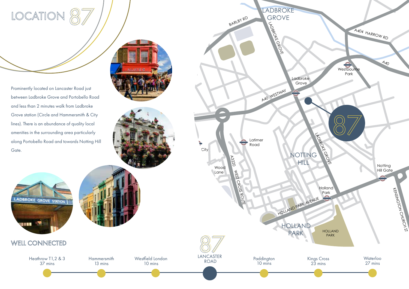# LOCATION 87

Prominently located on Lancaster Road just between Ladbroke Grove and Portobello Road and less than 2 minutes walk from Ladbroke Grove station (Circle and Hammersmith & City lines). There is an abundance of quality local amenities in the surrounding area particularly along Portobello Road and towards Notting Hill Gate.





10 mins

**Hammersmith** 13 mins



WELL CONNECTED

Heathrow T1,2 & 3 37 mins

# WOOD LANE A219 A40 WESTWAY  $\overline{\phantom{a}}$ City A3220 WEST CROSS ROUTE Wood Lane